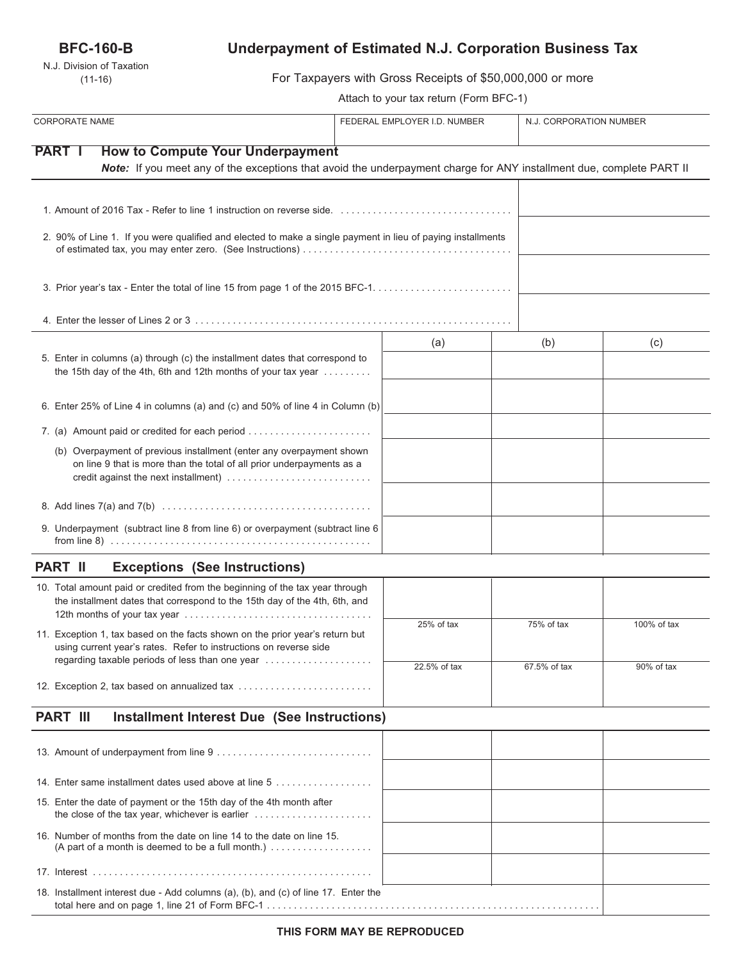## **BFC-160-B**

N.J. Division of Taxation (11-16)

# **Underpayment of Estimated N.J. Corporation Business Tax**

For Taxpayers with Gross Receipts of \$50,000,000 or more

Attach to your tax return (Form BFC-1)

| <b>CORPORATE NAME</b>                                                                                                                                                                 | FEDERAL EMPLOYER I.D. NUMBER |              | N.J. CORPORATION NUMBER |  |
|---------------------------------------------------------------------------------------------------------------------------------------------------------------------------------------|------------------------------|--------------|-------------------------|--|
| <b>PART I</b><br><b>How to Compute Your Underpayment</b><br>Note: If you meet any of the exceptions that avoid the underpayment charge for ANY installment due, complete PART II      |                              |              |                         |  |
|                                                                                                                                                                                       |                              |              |                         |  |
| 2. 90% of Line 1. If you were qualified and elected to make a single payment in lieu of paying installments                                                                           |                              |              |                         |  |
|                                                                                                                                                                                       |                              |              |                         |  |
|                                                                                                                                                                                       |                              |              |                         |  |
| 5. Enter in columns (a) through (c) the installment dates that correspond to<br>the 15th day of the 4th, 6th and 12th months of your tax year                                         | (a)                          | (b)          | (c)                     |  |
| 6. Enter 25% of Line 4 in columns (a) and (c) and 50% of line 4 in Column (b)                                                                                                         |                              |              |                         |  |
| 7. (a) Amount paid or credited for each period                                                                                                                                        |                              |              |                         |  |
| (b) Overpayment of previous installment (enter any overpayment shown<br>on line 9 that is more than the total of all prior underpayments as a<br>credit against the next installment) |                              |              |                         |  |
|                                                                                                                                                                                       |                              |              |                         |  |
| 9. Underpayment (subtract line 8 from line 6) or overpayment (subtract line 6                                                                                                         |                              |              |                         |  |
| <b>PART II</b><br><b>Exceptions (See Instructions)</b>                                                                                                                                |                              |              |                         |  |
| 10. Total amount paid or credited from the beginning of the tax year through<br>the installment dates that correspond to the 15th day of the 4th, 6th, and                            |                              |              |                         |  |
| 11. Exception 1, tax based on the facts shown on the prior year's return but<br>using current year's rates. Refer to instructions on reverse side                                     | 25% of tax                   | 75% of tax   | 100% of tax             |  |
| regarding taxable periods of less than one year                                                                                                                                       | 22.5% of tax                 | 67.5% of tax | 90% of tax              |  |
| 12. Exception 2, tax based on annualized tax                                                                                                                                          |                              |              |                         |  |
| <b>PART III</b><br><b>Installment Interest Due (See Instructions)</b>                                                                                                                 |                              |              |                         |  |
|                                                                                                                                                                                       |                              |              |                         |  |
| 14. Enter same installment dates used above at line 5                                                                                                                                 |                              |              |                         |  |
| 15. Enter the date of payment or the 15th day of the 4th month after                                                                                                                  |                              |              |                         |  |
| 16. Number of months from the date on line 14 to the date on line 15.<br>(A part of a month is deemed to be a full month.) $\ldots$                                                   |                              |              |                         |  |
|                                                                                                                                                                                       |                              |              |                         |  |
| 18. Installment interest due - Add columns (a), (b), and (c) of line 17. Enter the                                                                                                    |                              |              |                         |  |

total here and on page 1, line 21 of Form BFC-1 . . . . . . . . . . . . . . . . . . . . . . . . . . . . . . . . . . . . . . . . . . . . . . . . . . . . . . . . . . . . . .